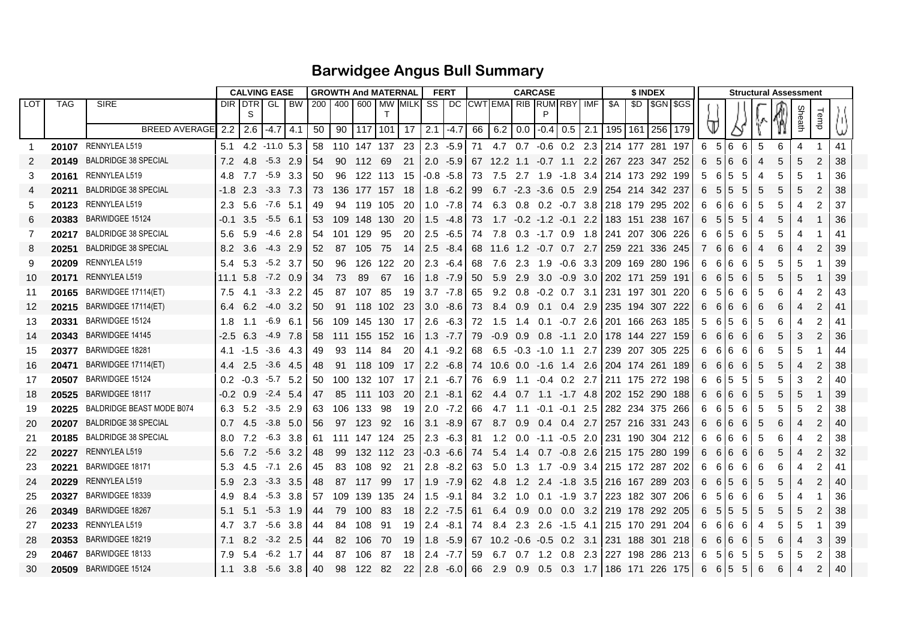## **Barwidgee Angus Bull Summary**

|          |            |                             |                 | <b>CALVING EASE</b>     |                          | <b>GROWTH And MATERNAL</b> |          |             |                                     |             |                           | <b>FERT</b>                | <b>CARCASE</b> |                                          |            |                      |        |               |                                                       | \$ INDEX |                   | <b>Structural Assessment</b> |        |                  |        |        |        |        |          |
|----------|------------|-----------------------------|-----------------|-------------------------|--------------------------|----------------------------|----------|-------------|-------------------------------------|-------------|---------------------------|----------------------------|----------------|------------------------------------------|------------|----------------------|--------|---------------|-------------------------------------------------------|----------|-------------------|------------------------------|--------|------------------|--------|--------|--------|--------|----------|
| LOT      | <b>TAG</b> | <b>SIRE</b>                 |                 | DIR DTR GL BW<br>S      |                          | 200 400 600 MW MILK        |          |             | $\top$                              |             |                           |                            |                | SS   DC   CWT EMA  RIB   RUM   RBY   IMF |            |                      |        |               | \$A                                                   |          | \$D   \$GN   \$GS |                              |        |                  |        |        |        |        |          |
|          |            | <b>BREED AVERAGE</b>        | 2.2             | 2.6                     | $-4.7$ 4.1               | 50                         | 90       |             | $\vert$ 117   101   17   2.1   -4.7 |             |                           |                            |                | 66 6.2 0.0 -0.4 0.5 2.1                  |            |                      |        |               | 195                                                   | 161 256  | 179               |                              |        |                  |        |        |        | Temp   |          |
|          |            | 20107 RENNYLEA L519         |                 | 5.1 4.2 -11.0 5.3       |                          |                            |          |             | 58 110 147 137 23                   |             | $12.3 - 5.9$              |                            |                |                                          |            |                      |        |               | 71 4.7 0.7 -0.6 0.2 2.3 214 177 281 197               |          |                   | 6                            | - 5    | 6                |        |        |        |        | 41       |
|          |            | <b>BALDRIDGE 38 SPECIAL</b> |                 |                         |                          |                            |          |             |                                     |             |                           |                            |                |                                          |            |                      |        |               |                                                       |          |                   |                              |        | - 6              | 5      | 6      | 4      |        |          |
|          | 20149      | RENNYLEA L519               | $7.2$ 4.8       |                         | $-5.3$ 2.9<br>$-5.9$ 3.3 | 54                         | 90       | 112         | 69                                  | 21          | $ 2.0 - 5.9 $             |                            |                |                                          |            |                      |        |               | 67 12.2 1.1 -0.7 1.1 2.2 267 223 347 252              |          |                   | 6                            | 5      | 6<br>6           | 4      | 5<br>5 | 5      | 2      | 38       |
| 3        | 20161      | <b>BALDRIDGE 38 SPECIAL</b> | 4.8             | 7.7                     |                          | 50                         | 96       | 122 113     |                                     | - 15        | $-0.8 - 5.8$              |                            | 73             | 7.5                                      | 2.7        | - 1.9                |        |               | -1.8 3.4 214 173 292 199                              |          |                   | 5                            | 6      | 5<br>-5          | 4      |        | 5<br>5 |        | 36       |
|          | 20211      | 20123 RENNYLEA L519         | $-1.8$ 2.3      |                         | $-3.3$ 7.3<br>$-7.6$ 5.1 | 73.                        |          |             | 136 177 157 18                      |             |                           | $1.8 - 6.2$                | 99             |                                          |            | $6.7 -2.3 -3.6$ 0.5  |        |               | 2.9 254 214 342 237                                   |          |                   | 6                            | 5      | 5<br>-5          | 5      | 5      |        | 2<br>2 | 38       |
| 5        |            | BARWIDGEE 15124             | $2.3\quad 5.6$  |                         |                          | 49                         |          | 94 119 105  |                                     | -20         |                           | $1.0 - 7.8$                | 74             | 6.3                                      | 0.8        |                      |        |               | 0.2 -0.7 3.8 218 179 295 202                          |          |                   | 6                            | 6      | 6<br>6           | 5      | 5      |        |        | 37       |
| 6        | 20383      | <b>BALDRIDGE 38 SPECIAL</b> | -0.1            | 3.5                     | $-5.5$ 6.1               | 53                         |          | 109 148 130 |                                     | -20         |                           | $1.5 - 4.8$                | 73             |                                          |            | $1.7 -0.2 -1.2 -0.1$ |        | $2.2^{\circ}$ | 183 151 238 167                                       |          |                   | 6                            | 5      | 5<br>5<br>5      | 4      | 5      |        |        | 36       |
| 7        | 20217      | <b>BALDRIDGE 38 SPECIAL</b> | 5.6             | -5.9                    | $-4.6$ 2.8               | -54                        | 101 129  |             | -95                                 | -20         | $2.5 - 8.4$               | $2.5 - 6.5$                | 74             | 7.8                                      | 0.3        | -1.7 0.9             |        |               | 1.8   241 207 306 226                                 |          |                   | 6                            | 6      | -6               | 5      | 5      |        |        | 41       |
| 8        | 20251      | 20209 RENNYLEA L519         | $8.2 \quad 3.6$ |                         | $-4.3$ 2.9<br>$-5.2$ 3.7 | -52                        | 87       | -105        | - 75                                | -14         |                           |                            |                |                                          |            |                      |        |               | 68 11.6 1.2 -0.7 0.7 2.7 259 221 336 245              |          |                   | 7                            | 6      | 6<br>6           | 4      | 6      |        | 2      | 39       |
| 9        |            | 20171 RENNYLEA L519         | 5.4             | 5.3                     | $-7.2$ 0.9               | 50                         | 96       | 126         | 122                                 | -20         |                           | $2.3 - 6.4$<br>$1.8 - 7.9$ | 68             | - 7.6                                    | 2.3        | - 1.9                |        |               | -0.6 3.3 209 169 280 196                              |          |                   | 6                            | 6      | 6<br>-6          | 5      | 5      | 5      |        | 39       |
| 10<br>11 |            | 20165 BARWIDGEE 17114(ET)   | 11.1 5.8<br>7.5 | 4.1                     | $-3.3$ 2.2               | 34<br>45                   | 73<br>87 | 89<br>107   | 67<br>85                            | -16<br>19   | $3.7 - 7.8$               |                            | 50<br>65       | 5.9<br>9.2                               | 2.9<br>0.8 | $-0.2$ 0.7           |        |               | 3.0 -0.9 3.0   202 171 259 191<br>3.1 231 197 301 220 |          |                   | 6<br>6                       | 6<br>5 | 5<br>6<br>6<br>6 | 5<br>5 | 5<br>6 | 5      | 2      | 39<br>43 |
| 12       |            | 20215 BARWIDGEE 17114(ET)   | 6.4             | 6.2                     | $-4.0$ 3.2               | 50                         | 91       | 118         | 102                                 |             |                           | $3.0 - 8.6$                | 73             | 8.4                                      | 0.9        |                      | 0.4    |               | 2.9 235 194 307 222                                   |          |                   | 6                            | 6      | 6<br>6           |        | 6      |        | 2      | 41       |
| 13       | 20331      | BARWIDGEE 15124             | 1.8             | 1.1                     | $-6.9$ 6.1               | 56                         |          | 109 145 130 |                                     | - 23<br>-17 | 2.6                       | $-6.3$                     | 72             | 1.5                                      | 1.4        | 0.1<br>0.1           | -0.7   | 2.6 I         | 201 166 263 185                                       |          |                   | 5                            | 6      | 5<br>6           | 6<br>5 | 6      |        | 2      | 41       |
| 14       | 20343      | BARWIDGEE 14145             | -2.5 6.3        |                         | $-4.9$ 7.8               | 58                         |          |             | 111 155 152 16                      |             |                           | $1.3 - 7.7$                | 79             | -0.9                                     | 0.9        | 0.8                  |        |               | -1.1 2.0   178 144 227 159                            |          |                   | 6                            | 6      | 6<br>6           | 6      | 5      | 3      | 2      | 36       |
| 15       | 20377      | BARWIDGEE 18281             |                 | $4.1 - 1.5$             | $-3.6$ 4.3               | 49                         | 93       | 114         | 84                                  | 20          | 4.1                       | $-9.2$                     | 68             | 6.5                                      |            | $-0.3 - 1.0$ 1.1     |        |               | 2.7 239 207 305 225                                   |          |                   | 6                            | 6      | 6<br>6           | 6      | 5      | 5      |        | 44       |
| 16       | 20471      | BARWIDGEE 17114(ET)         | 4.4             | 2.5                     | $-3.6$ 4.5               | 48                         | 91       | 118         | 109                                 | -17         |                           | $2.2 - 6.8$                |                | 74 10.6 0.0 -1.6 1.4                     |            |                      |        |               | 2.6 204 174 261 189                                   |          |                   | 6                            | 6      | 6<br>6           | 5      | 5      | 4      | 2      | 38       |
| 17       | 20507      | BARWIDGEE 15124             | $0.2^{\circ}$   | $-0.3$                  | $-5.7$ 5.2               | -50                        |          | 100 132 107 |                                     | - 17        | 2.1                       | -6.71                      | 76             | 6.9                                      | $-1.1$     | -0.4 0.2             |        |               | 2.7 211 175 272 198                                   |          |                   | 6.                           | 6      | 5<br>-5          | 5      | 5      | 3      | 2      | 40       |
| 18       | 20525      | BARWIDGEE 18117             | $-0.2$ 0.9      |                         | $-2.4$ 5.4               | 47                         | 85       | 111 103     |                                     | - 20        |                           | $2.1 - 8.1$                | 62             | -4.4                                     | 0.7        |                      |        |               | 1.1 -1.7 4.8 202 152 290 188                          |          |                   | 6                            | 6      | 6<br>6           | 5      | 5      | 5      | -1     | 39       |
| 19       | 20225      | BALDRIDGE BEAST MODE B074   |                 | $6.3$ $5.2$ $3.5$ $2.9$ |                          | 63.                        | 106 133  |             | -98                                 | 19          |                           | $2.0 - 7.2$                | 66             | 4.7                                      | $-1.1$     | -0.1 -0.1            |        |               | 2.5 282 234 375 266                                   |          |                   | 6                            | 6      | 5<br>6           | 5      | 5      | 5      | 2      | 38       |
| 20       | 20207      | <b>BALDRIDGE 38 SPECIAL</b> | $0.7$ 4.5       |                         | $-3.8$ 5.0               | 56                         | 97       | - 123       | - 92                                | 16          |                           | $3.1 - 8.9$                | 67             | 8.7                                      | 0.9        | 0.4                  | 0.4    |               | 2.7 257 216 331 243                                   |          |                   | 6                            | 6      | 6<br>6           | 5      | 6      | 4      | 2      | 40       |
| 21       | 20185      | <b>BALDRIDGE 38 SPECIAL</b> | 8.0 7.2         |                         | $-6.3$ 3.8               | -61                        |          | 111 147 124 |                                     | 25          |                           | $2.3 - 6.3$                | -81            | 1.2                                      | $0.0\,$    | -1.1 -0.5            |        |               | 2.0 231 190 304 212                                   |          |                   | 6                            | 6      | 6<br>6           | 5      | 6      |        | 2      | 38       |
| 22       | 20227      | RENNYLEA L519               | 5.6             | 7.2                     | $-5.6$ 3.2               | 48                         | 99       | 132 112     |                                     | - 23        |                           | $-0.3 -6.6$                | 74             | 5.4                                      | 1.4        |                      |        |               | 0.7 -0.8 2.6 215 175 280 199                          |          |                   | 6                            | 6      | 6<br>6           | 6      | 5      | 4      | 2      | 32       |
| 23       | 20221      | BARWIDGEE 18171             | 5.3             | 4.5                     | $-7.1$ 2.6               | 45                         | 83       | 108         | 92                                  | 21          |                           | $2.8 - 8.2$                | 63             | 5.0                                      | 1.3        |                      |        |               | 1.7 -0.9 3.4 215 172 287 202                          |          |                   | 6                            | 6      | 6<br>6           | 6      | 6      |        | 2      | 41       |
| 24       | 20229      | RENNYLEA L519               | $5.9$ 2.3       |                         | $-3.3$ 3.5               | 48                         |          | 87 117      | 99                                  | -17         |                           | $1.9 - 7.9$                | 62             | 4.8                                      | $1.2$ 2.4  |                      |        |               | -1.8 3.5 216 167 289 203                              |          |                   | 6                            | 6      | 5<br>6           | 5      | 5      | 4      | 2      | 40       |
| 25       | 20327      | BARWIDGEE 18339             | 4.9             | 8.4                     | $-5.3$ 3.8               | 57                         | 109      | 139         | 135                                 | -24         |                           | $1.5 - 9.1$                | 84             | 3.2                                      | 1.0        | 0.1                  | $-1.9$ |               | 3.7 223 182 307 206                                   |          |                   | 6                            | 5      | 6<br>6           | 6      | 5      |        |        | 36       |
| 26       | 20349      | BARWIDGEE 18267             | 5.1             | 5.1                     | $-5.3$ 1.9               | 44                         | 79       | 100         | 83                                  | 18          |                           | $2.2 - 7.5$                | 61             | 6.4                                      | 0.9        | 0.0                  | 0.0    |               | 3.2 219 178 292 205                                   |          |                   | 6                            | 5      | 5<br>5           | 5      | 5      | 5      | 2      | 38       |
| 27       |            | 20233 RENNYLEA L519         | 4.7             | 3.7                     | $-5.6$ 3.8               | 44                         | -84      | 108         | -91                                 | 19          | $2.4^{\circ}$             | $-8.1$                     | 74             | 8.4                                      | 2.3        | 2.6                  | $-1.5$ |               | 4.1 215 170 291 204                                   |          |                   | 6                            | 6      | 6<br>6           | 4      | 5      | 5      |        | 39       |
| 28       | 20353      | BARWIDGEE 18219             | 7.1             | 8.2                     | $-3.2$ 2.5               | 44                         | 82       | 106         | - 70                                | 19          |                           | $1.8 - 5.9$                |                | $67$ 10.2 -0.6 -0.5 0.2                  |            |                      |        |               | 3.1 231 188 301                                       |          | - 218             | 6                            | 6      | 6<br>6           | 5      | 6      |        | 3      | 39       |
| 29       | 20467      | BARWIDGEE 18133             | 7.9             | - 5.4                   | $-6.2$ 1.7               | 44                         |          | 87 106      | - 87                                | 18          | 2.4                       | $-7.7$                     | 59             |                                          |            | 6.7 0.7 1.2 0.8      |        |               | 2.3 227 198 286 213                                   |          |                   | 6                            | 5      | 6<br>5           | 5      | 5      | 5      | 2      | 38       |
| 30       |            | 20509 BARWIDGEE 15124       | 1.1             |                         | $3.8$ $5.6$ $3.8$        | 40                         | 98       | - 122       | -82                                 | 22          | $\vert 2.8 \, -6.0 \vert$ |                            |                | 66 2.9                                   | 0.9        | 0.5                  |        |               | 0.3 1.7 186 171 226 175                               |          |                   | 6                            | 6      | 5<br>5           | 6      | 6      |        | 2      | 40       |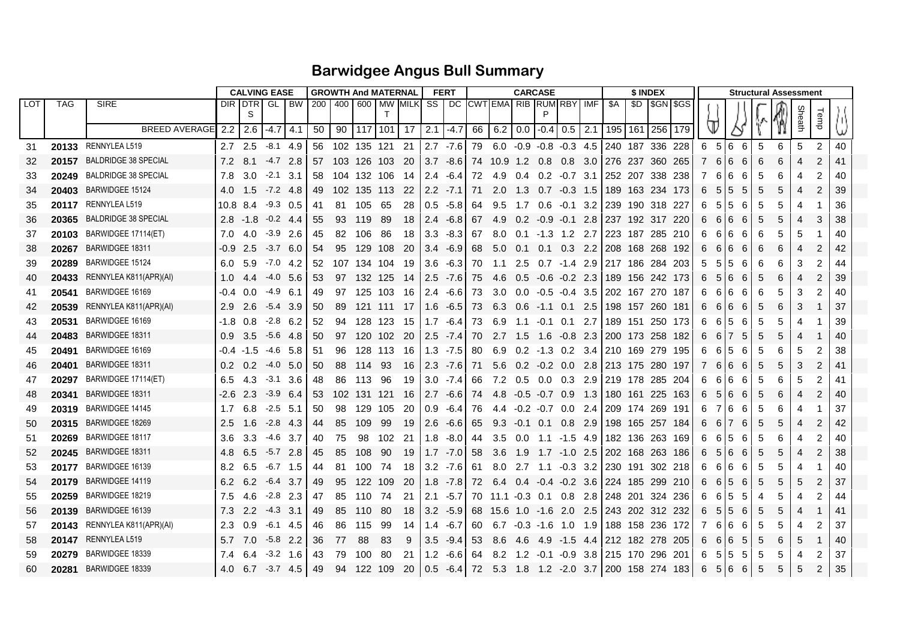## **Barwidgee Angus Bull Summary**

|     |            |                                     |                  |               | <b>CALVING EASE</b> |         | <b>GROWTH And MATERNAL</b> |    |             |                                                                                     |      |                      | <b>FERT</b> | <b>CARCASE</b> |                       |               |                   |            |     |                                           |                 | \$ INDEX |           | <b>Structural Assessment</b> |                                 |         |   |   |                 |                |    |  |
|-----|------------|-------------------------------------|------------------|---------------|---------------------|---------|----------------------------|----|-------------|-------------------------------------------------------------------------------------|------|----------------------|-------------|----------------|-----------------------|---------------|-------------------|------------|-----|-------------------------------------------|-----------------|----------|-----------|------------------------------|---------------------------------|---------|---|---|-----------------|----------------|----|--|
| LOT | <b>TAG</b> | <b>SIRE</b>                         |                  | DIR IDTR<br>S |                     | GL I BW |                            |    |             | 200   400   600   MW  MILK  SS   DC   CWT EMA  RIB   RUM  RBY   IMF<br>$\mathsf{T}$ |      |                      |             |                |                       |               |                   |            |     | \$A                                       | SD I            |          | \$GN \$GS |                              |                                 |         |   |   | heath<br>Sheath | <b>Temp</b>    |    |  |
|     |            | <b>BREED AVERAGE</b>                | 2.2              | 2.6           | $-4.7$ 4.1          |         | 50                         | 90 |             | 117 101 17                                                                          |      | $2.1 - 4.7$          |             |                | $66$ 6.2 0.0 -0.4 0.5 |               |                   |            | 2.1 | 195                                       | 161             | 256 179  |           |                              |                                 |         |   |   |                 |                |    |  |
| 31  |            | 20133 RENNYLEA L519                 |                  | $2.7$ 2.5     | $-8.1$ 4.9          |         |                            |    |             | 56 102 135 121 21                                                                   |      |                      | $2.7 - 7.6$ |                |                       |               |                   |            |     | 79 6.0 -0.9 -0.8 -0.3 4.5 240 187 336 228 |                 |          |           | 6                            | $5 \overline{\smash{\big)}\ 6}$ | -6      | 5 | 6 | 5               | 2              | 40 |  |
| 32  | 20157      | <b>BALDRIDGE 38 SPECIAL</b>         | 7.2              | 8.1           | $-4.7$ 2.8          |         | 57                         |    | 103 126 103 |                                                                                     | - 20 |                      | $3.7 - 8.6$ |                | 74 10.9 1.2           |               | 0.8               | 0.8        |     | 3.0 276 237 360 265                       |                 |          |           | $\overline{7}$               | 6                               | 6<br>6  | 6 | 6 |                 | 2              | 41 |  |
| 33  | 20249      | <b>BALDRIDGE 38 SPECIAL</b>         | 7.8              | 3.0           | $-2.1$              | 3.1     | 58                         |    | 104 132 106 |                                                                                     | - 14 | 2.4                  | -6.4        | 72             | 4.9                   | 0.4           |                   |            |     | 0.2 -0.7 3.1 252 207 338 238              |                 |          |           | 7                            | 6                               | 6<br>6  | 5 | 6 |                 | 2              | 40 |  |
| 34  | 20403      | BARWIDGEE 15124                     | 4.0              | 1.5           | $-7.2$ 4.8          |         | 49                         |    |             | 102 135 113 22                                                                      |      |                      | $2.2 - 7.1$ | 71             | 2.0                   | 1.3           | $0.7 -0.3$ 1.5    |            |     | 189 163 234 173                           |                 |          |           | 6                            | 5                               | 5<br>5  | 5 | 5 |                 | $\overline{2}$ | 39 |  |
| 35  |            | 20117 RENNYLEA L519                 | 10.8 8.4         |               | $-9.3$ 0.5          |         | 41                         |    | 81 105      | -65                                                                                 | -28  |                      | $0.5 - 5.8$ | 64             | 9.5                   | 1.7           | 0.6               | $-0.1$ 3.2 |     | 239 190 318 227                           |                 |          |           | 6                            | 5                               | 5<br>6  | 5 | 5 |                 |                | 36 |  |
| 36  | 20365      | <b>BALDRIDGE 38 SPECIAL</b>         | 2.8              | $-1.8$        | $-0.2$ 4.4          |         | 55                         | 93 | 119         | -89                                                                                 | -18  | 2.4                  | $-6.8$      | 67             | 4.9                   | $0.2^{\circ}$ | -0.9              | $-0.1$     | 2.8 | 237 192 317 220                           |                 |          |           | 6                            | 6                               | 6<br>6  | 5 | 5 |                 | 3              | 38 |  |
| 37  | 20103      | BARWIDGEE 17114(ET)                 | 7.0              | 4.0           | $-3.9$ 2.6          |         | 45                         | 82 | 106         | -86                                                                                 | -18  |                      | $3.3 - 8.3$ | 67             | 8.0                   | 0.1           | $-1.3$ 1.2        |            | 2.7 | 223 187 285 210                           |                 |          |           | 6                            | 6                               | 6<br>-6 | 6 | 5 | 5               |                | 40 |  |
| 38  | 20267      | BARWIDGEE 18311                     |                  | -0.9 2.5      | $-3.7$ 6.0          |         | -54                        | 95 | 129 108     |                                                                                     | - 20 | $3.4^{\circ}$        | $-6.9$      | 68             | 5.0                   | 0.1           | 0.1               | $0.3$ 2.2  |     | 208 168 268 192                           |                 |          |           | 6                            | 6                               | 6<br>6  | 6 | 6 |                 | 2              | 42 |  |
| 39  | 20289      | BARWIDGEE 15124                     | 6.0              | 5.9           | $-7.0$ 4.2          |         | -52                        |    |             | 107 134 104 19                                                                      |      |                      | $3.6 - 6.3$ | 70             | $-1.1$                | 2.5           |                   |            |     | 0.7 -1.4 2.9 217 186 284 203              |                 |          |           | 5                            | 5                               | 5<br>6  | 6 | 6 | 3               | 2              | 44 |  |
| 40  | 20433      | RENNYLEA K811(APR)(AI)              | 1.0              | 4.4           | $-4.0$ 5.6          |         | 53                         |    | 97 132 125  |                                                                                     | - 14 |                      | $2.5 - 7.6$ | 75             | -4.6                  | 0.5           | $-0.6$ $-0.2$ 2.3 |            |     | 189 156 242 173                           |                 |          |           | 6                            | 5                               | 6<br>6  | 5 | 6 |                 | 2              | 39 |  |
| 41  | 20541      | BARWIDGEE 16169                     | -0.4             | 0.0           | -4.9                | - 6.1   | 49                         | 97 | 125 103     |                                                                                     | - 16 | $\mid$ 2.4 -6.6   73 |             |                | 3.0                   | 0.0           |                   |            |     | -0.5 -0.4 3.5   202 167 270 187           |                 |          |           | 6                            | 6                               | 6<br>6  | 6 | 5 | 3               | $\overline{c}$ | 40 |  |
| 42  | 20539      | RENNYLEA K811(APR)(AI)              | 2.9              | -2.6          | $-5.4$              | 3.9     | 50                         | 89 | 121 111     |                                                                                     | - 17 |                      | $1.6 - 6.5$ | 73             | 6.3                   | 0.6           | $-1.1$ 0.1        |            | 2.5 | 198 157 260 181                           |                 |          |           | 6                            | 6                               | 6<br>6  | 5 | 6 | З               |                | 37 |  |
| 43  | 20531      | BARWIDGEE 16169                     | -1.8             | 0.8           | $-2.8$              | - 6.2   | 52                         | 94 | 128 123     |                                                                                     | -15  |                      | $1.7 - 6.4$ | 73             | 6.9                   | 1.1           | $-0.1$ 0.1        |            | 2.7 | 189 151 250 173                           |                 |          |           | 6                            | 6                               | 5<br>6  | 5 | 5 |                 |                | 39 |  |
| 44  | 20483      | BARWIDGEE 18311                     | 0.9 <sup>°</sup> | 3.5           | $-5.6$ 4.8          |         | 50                         | 97 | 120 102     |                                                                                     | - 20 |                      | $2.5 - 7.4$ | 70             | 2.7 1.5               |               | - 1.6             | $-0.8$ 2.3 |     | 200 173 258 182                           |                 |          |           | 6                            | 6                               | 7<br>5  | 5 | 5 | 4               |                | 40 |  |
| 45  | 20491      | BARWIDGEE 16169                     |                  | -0.4 -1.5     | $-4.6$ 5.8          |         | -51                        | 96 | 128 113     |                                                                                     | -16  |                      | $1.3 - 7.5$ | 80             | 6.9                   | 0.2           | -1.3 0.2 3.4      |            |     | 210 169 279 195                           |                 |          |           | 6                            | 6                               | 5<br>6  | 5 | 6 | 5               | 2              | 38 |  |
| 46  | 20401      | BARWIDGEE 18311                     | $0.2^{\circ}$    | $0.2^{\circ}$ | $-4.0$ 5.0          |         | 50                         | 88 | 114         | -93                                                                                 | -16  |                      | $2.3 - 7.6$ | 71             | 5.6                   |               | $0.2 -0.2 0.0$    |            | 2.8 | 213 175 280 197                           |                 |          |           | $\overline{7}$               | 6                               | 6<br>6  | 5 | 5 |                 | 2              | 41 |  |
| 47  | 20297      | BARWIDGEE 17114(ET)                 | 6.5              | 4.3           | $-3.1$ 3.6          |         | 48                         | 86 | 113         | 96                                                                                  | -19  | 3.0                  | $-7.4$      | 66.            | 7.2                   | 0.5           | $0.0 \quad 0.3$   |            |     | 2.9 219 178 285 204                       |                 |          |           | 6                            | 6                               | 6<br>6  | 5 | 6 | 5               | 2              | 41 |  |
| 48  | 20341      | BARWIDGEE 18311                     | -2.6 2.3         |               | $-3.9$              | - 6.4   | -53                        |    | 102 131 121 |                                                                                     | -16  |                      | $2.7 - 6.6$ | 74             | $4.8 -0.5 -0.7$ 0.9   |               |                   |            | 1.3 | 180 161 225 163                           |                 |          |           | 6                            | 5                               | 6<br>6  | 5 | 6 |                 | $\overline{2}$ | 40 |  |
| 49  | 20319      | BARWIDGEE 14145                     | 1.7              | 6.8           | $-2.5$ 5.1          |         | 50                         | 98 | 129 105     |                                                                                     | -20  |                      | $0.9 - 6.4$ | 76             | 4.4 -0.2 -0.7 0.0 2.4 |               |                   |            |     |                                           | 209 174 269 191 |          |           | 6                            | 7                               | 6<br>6  | 5 | 6 |                 |                | 37 |  |
| 50  |            | 20315 BARWIDGEE 18269               | $2.5^{\circ}$    | 1.6           | $-2.8$ 4.3          |         | 44                         | 85 | 109         | - 99                                                                                | -19  |                      | $2.6 - 6.6$ | 65             | 9.3                   | $-0.1$ 0.1    |                   | 0.8        | 2.9 | 1198 165 257 184                          |                 |          |           | 6                            | 6                               | 7<br>6  | 5 | 5 |                 | 2              | 42 |  |
| 51  | 20269      | BARWIDGEE 18117                     | 3.6              | 3.3           | $-4.6$ 3.7          |         | 40                         | 75 | 98          | 102                                                                                 | -21  |                      | $1.8 - 8.0$ | 44             | 3.5                   | $0.0\,$       |                   |            |     | 1.1 -1.5 4.9   182 136 263 169            |                 |          |           | 6                            | 6                               | 5<br>6  | 5 | 6 |                 | 2              | 40 |  |
| 52  | 20245      | BARWIDGEE 18311                     | 4.8              | 6.5           | $-5.7$ 2.8          |         | 45                         | 85 | 108         | 90                                                                                  | -19  |                      | $1.7 - 7.0$ | 58             | 3.6                   | 1.9           | $1.7 - 1.0$ 2.5   |            |     | 202 168 263 186                           |                 |          |           | 6                            | 5                               | 6<br>6  | 5 | 5 |                 | $\overline{2}$ | 38 |  |
| 53  | 20177      | BARWIDGEE 16139                     | 8.2              | 6.5           | $-6.7$ 1.5          |         | 44                         | 81 | 100 74      |                                                                                     | -18  |                      | $3.2 - 7.6$ | 61             | 8.0                   | 2.7           |                   |            |     | 1.1 -0.3 3.2 230 191 302 218              |                 |          |           | 6                            | 6                               | 6<br>6  | 5 | 5 |                 |                | 40 |  |
| 54  | 20179      | BARWIDGEE 14119                     | $6.2\quad 6.2$   |               | $-6.4$ 3.7          |         | 49                         | 95 | 122 109     |                                                                                     | - 20 |                      | $1.8 - 7.8$ | 72             | 6.4                   | 0.4           | $-0.4$ $-0.2$ 3.6 |            |     | 224 185 299 210                           |                 |          |           | 6                            | 6                               | 5<br>6  | 5 |   |                 | 2              | 37 |  |
| 55  | 20259      | BARWIDGEE 18219                     | 7.5              | 4.6           | $-2.8$ 2.3          |         | 47                         | 85 | 110         | 74                                                                                  | -21  |                      | $2.1 - 5.7$ |                | 70 11.1 -0.3          |               | 0.1               | 0.8        |     | 2.8 248 201 324 236                       |                 |          |           | 6                            | 6                               | 5<br>5  | 4 | 5 |                 | 2              | 44 |  |
| 56  | 20139      | BARWIDGEE 16139                     | 7.3              | $2.2^{\circ}$ | $-4.3$ 3.1          |         | 49                         | 85 | 110         | -80                                                                                 | -18  |                      | $3.2 - 5.9$ |                | 68 15.6 1.0           |               |                   |            |     | -1.6 2.0 2.5 243 202 312 232              |                 |          |           | 6                            | 5                               | 5<br>6  | 5 | 5 |                 |                | 41 |  |
| 57  |            | <b>20143</b> RENNYLEA K811(APR)(AI) | 2.3              | 0.9           | -6.1                | 4.5     | 46                         | 86 | 115         | 99                                                                                  | -14  | 1.4                  | $-6.7$      | 60             | 6.7                   | -0.3          | $-1.6$ 1.0        |            | 1.9 | 188 158 236 172                           |                 |          |           | 7                            | 6                               | 6<br>6  | 5 | 5 |                 | $\overline{2}$ | 37 |  |
| 58  |            | 20147 RENNYLEA L519                 | 5.7              | 7.0           | $-5.8$ 2.2          |         | 36                         | 77 | 88          | -83                                                                                 | -9   |                      | $3.5 - 9.4$ | 53             | 8.6                   | -4.6          | -4.9              |            |     | -1.5 4.4 212 182 278 205                  |                 |          |           | 6                            | 6                               | 6<br>5  | 5 | 6 | 5               |                | 40 |  |
| 59  | 20279      | BARWIDGEE 18339                     | 7.4              | 6.4           | $-3.2$ 1.6          |         | 43                         | 79 | 100         | -80                                                                                 | -21  |                      | $1.2 -6.6$  | 64             | 8.2 1.2               |               |                   |            |     | -0.1 -0.9 3.8   215 170 296 201           |                 |          |           | 6                            | 5                               | 5<br>5  | 5 | 5 |                 | 2              | 37 |  |
| 60  | 20281      | BARWIDGEE 18339                     | 4.0              |               | $6.7 - 3.7 4.5$     |         | 49                         |    | 94 122 109  |                                                                                     | -20  |                      | $0.5 -6.4$  |                | 72 5.3 1.8            |               |                   |            |     | 1.2 -2.0 3.7 200 158 274 183              |                 |          |           | 6                            | 5                               | 6<br>6  | 5 | 5 | 5               | $\overline{2}$ | 35 |  |